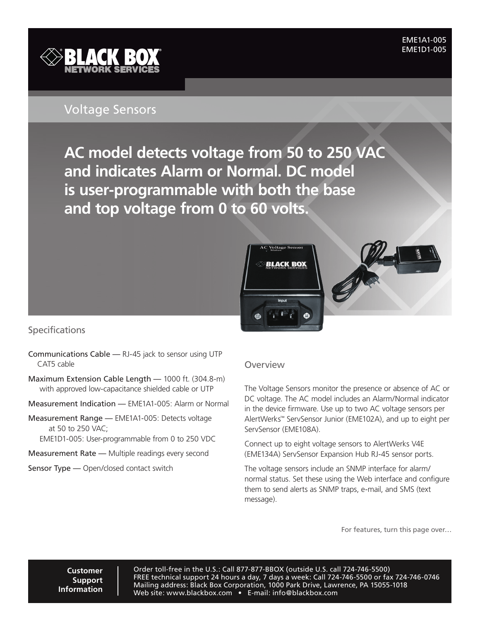**EME1A1-005** EME1A1-005<br>EME1D1-005



## Voltage Sensors

**BLACK BOX AC model detects voltage from 50 to 250 VAC** ® **and indicates Alarm or Normal. DC model is user-programmable with both the base and top voltage from 0 to 60 volts.**





## **Specifications**

- Communications Cable RJ-45 jack to sensor using UTP CAT5 cable
- Maximum Extension Cable Length 1000 ft. (304.8-m) with approved low-capacitance shielded cable or UTP
- Measurement Indication EME1A1-005: Alarm or Normal
- Measurement Range EME1A1-005: Detects voltage at 50 to 250 VAC;
	- EME1D1-005: User-programmable from 0 to 250 VDC
- Measurement Rate Multiple readings every second
- Sensor Type Open/closed contact switch

## **Overview**

The Voltage Sensors monitor the presence or absence of AC or DC voltage. The AC model includes an Alarm/Normal indicator in the device firmware. Use up to two AC voltage sensors per AlertWerks™ ServSensor Junior (EME102A), and up to eight per ServSensor (EME108A).

Connect up to eight voltage sensors to AlertWerks V4E (EME134A) ServSensor Expansion Hub RJ-45 sensor ports.

The voltage sensors include an SNMP interface for alarm/ normal status. Set these using the Web interface and configure them to send alerts as SNMP traps, e-mail, and SMS (text message).

For features, turn this page over…

**Customer Support Information**

Order toll-free in the U.S.: Call 877-877-BBOX (outside U.S. call 724-746-5500) FREE technical support 24 hours a day, 7 days a week: Call 724-746-5500 or fax 724-746-0746 Mailing address: Black Box Corporation, 1000 Park Drive, Lawrence, PA 15055-1018 Web site: www.blackbox.com • E-mail: info@blackbox.com